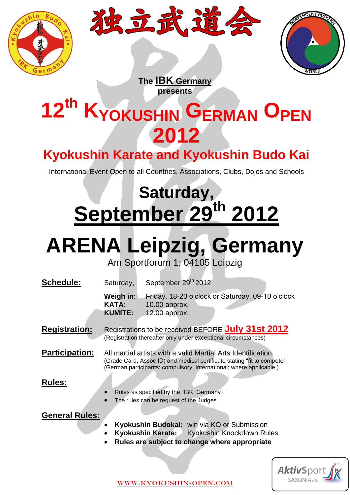





**The IBK Germany presents**

## **12th KYOKUSHIN GERMAN OPEN 2012**

### **Kyokushin Karate and Kyokushin Budo Kai**

International Event Open to all Countries, Associations, Clubs, Dojos and Schools

## **Saturday, September 29th 2012**

# **ARENA Leipzig, Germany**

Am Sportforum 1; 04105 Leipzig

| <b>Schedule:</b>      | Saturday,                                   | September 29th 2012                                                                                                                                                                                            |
|-----------------------|---------------------------------------------|----------------------------------------------------------------------------------------------------------------------------------------------------------------------------------------------------------------|
|                       | Weigh in:<br><b>KATA:</b><br><b>KUMITE:</b> | Friday, 18-20 o'clock or Saturday, 09-10 o'clock<br>10.00 approx.<br>12.00 approx.                                                                                                                             |
| <b>Registration:</b>  |                                             | Registrations to be received BEFORE July 31st 2012<br>(Registration thereafter only under exceptional circumstances)                                                                                           |
| <b>Participation:</b> |                                             | All martial artists with a valid Martial Arts Identification<br>(Grade Card, Assoc ID) and medical certificate stating "fit to compete"<br>(German participants; compulsory. International; where applicable.) |
| <b>Rules:</b>         | $\bullet$                                   | Rules as specified by the "IBK, Germany"<br>The rules can be request of the Judges                                                                                                                             |
| <b>General Rules:</b> | $\bullet$                                   | Kyokushin Budokai: win via KO or Submission<br>Kyokushin Karate: Kyokushin Knockdown Rules<br>Rules are subject to change where appropriate                                                                    |